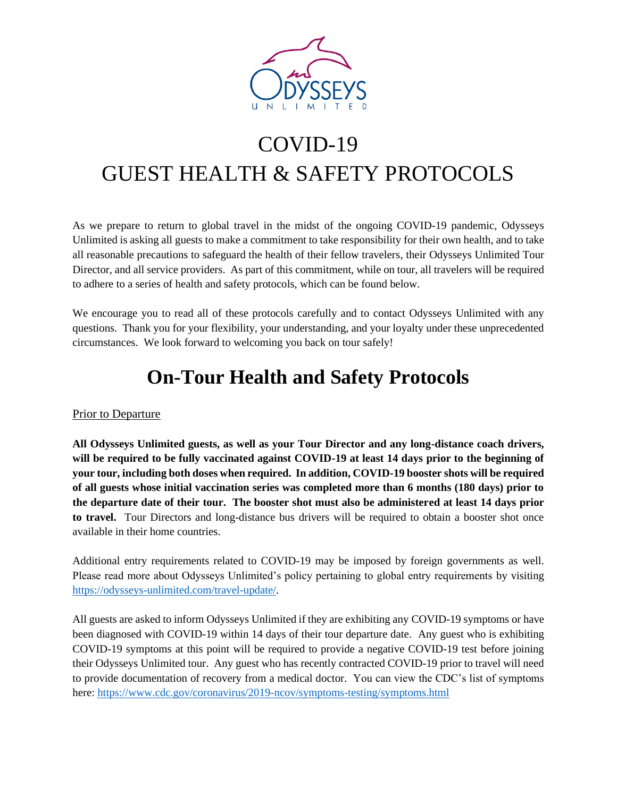

# COVID-19 GUEST HEALTH & SAFETY PROTOCOLS

As we prepare to return to global travel in the midst of the ongoing COVID-19 pandemic, Odysseys Unlimited is asking all guests to make a commitment to take responsibility for their own health, and to take all reasonable precautions to safeguard the health of their fellow travelers, their Odysseys Unlimited Tour Director, and all service providers. As part of this commitment, while on tour, all travelers will be required to adhere to a series of health and safety protocols, which can be found below.

We encourage you to read all of these protocols carefully and to contact Odysseys Unlimited with any questions. Thank you for your flexibility, your understanding, and your loyalty under these unprecedented circumstances. We look forward to welcoming you back on tour safely!

# **On-Tour Health and Safety Protocols**

### Prior to Departure

**All Odysseys Unlimited guests, as well as your Tour Director and any long-distance coach drivers, will be required to be fully vaccinated against COVID-19 at least 14 days prior to the beginning of your tour, including both doses when required. In addition, COVID-19 booster shots will be required of all guests whose initial vaccination series was completed more than 6 months (180 days) prior to the departure date of their tour. The booster shot must also be administered at least 14 days prior to travel.** Tour Directors and long-distance bus drivers will be required to obtain a booster shot once available in their home countries.

Additional entry requirements related to COVID-19 may be imposed by foreign governments as well. Please read more about Odysseys Unlimited's policy pertaining to global entry requirements by visiting [https://odysseys-unlimited.com/travel-update/.](https://odysseys-unlimited.com/travel-update/)

All guests are asked to inform Odysseys Unlimited if they are exhibiting any COVID-19 symptoms or have been diagnosed with COVID-19 within 14 days of their tour departure date. Any guest who is exhibiting COVID-19 symptoms at this point will be required to provide a negative COVID-19 test before joining their Odysseys Unlimited tour. Any guest who has recently contracted COVID-19 prior to travel will need to provide documentation of recovery from a medical doctor. You can view the CDC's list of symptoms here[: https://www.cdc.gov/coronavirus/2019-ncov/symptoms-testing/symptoms.html](https://www.cdc.gov/coronavirus/2019-ncov/symptoms-testing/symptoms.html)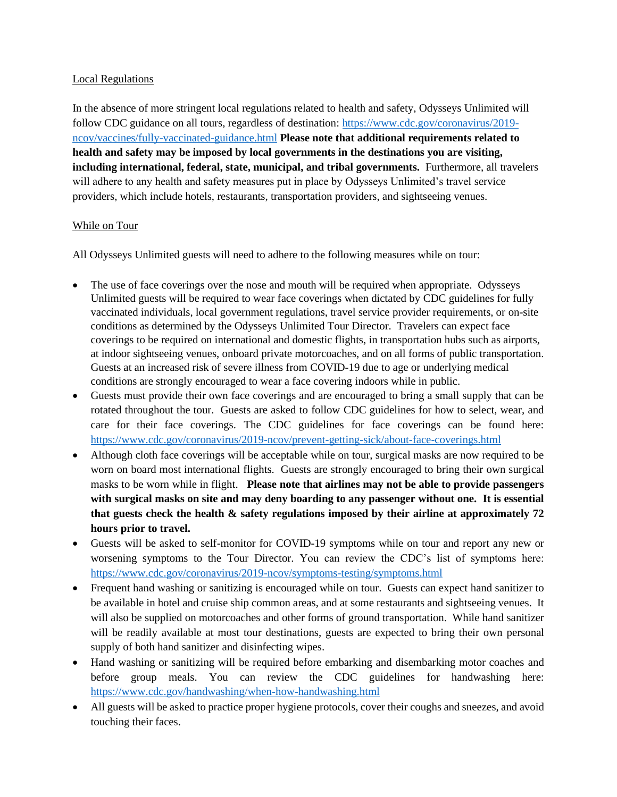#### Local Regulations

In the absence of more stringent local regulations related to health and safety, Odysseys Unlimited will follow CDC guidance on all tours, regardless of destination: [https://www.cdc.gov/coronavirus/2019](https://www.cdc.gov/coronavirus/2019-ncov/vaccines/fully-vaccinated-guidance.html) [ncov/vaccines/fully-vaccinated-guidance.html](https://www.cdc.gov/coronavirus/2019-ncov/vaccines/fully-vaccinated-guidance.html) **Please note that additional requirements related to health and safety may be imposed by local governments in the destinations you are visiting, including international, federal, state, municipal, and tribal governments.** Furthermore, all travelers will adhere to any health and safety measures put in place by Odysseys Unlimited's travel service providers, which include hotels, restaurants, transportation providers, and sightseeing venues.

#### While on Tour

All Odysseys Unlimited guests will need to adhere to the following measures while on tour:

- The use of face coverings over the nose and mouth will be required when appropriate. Odysseys Unlimited guests will be required to wear face coverings when dictated by CDC guidelines for fully vaccinated individuals, local government regulations, travel service provider requirements, or on-site conditions as determined by the Odysseys Unlimited Tour Director. Travelers can expect face coverings to be required on international and domestic flights, in transportation hubs such as airports, at indoor sightseeing venues, onboard private motorcoaches, and on all forms of public transportation. Guests at an increased risk of severe illness from COVID-19 due to age or underlying medical conditions are strongly encouraged to wear a face covering indoors while in public.
- Guests must provide their own face coverings and are encouraged to bring a small supply that can be rotated throughout the tour. Guests are asked to follow CDC guidelines for how to select, wear, and care for their face coverings. The CDC guidelines for face coverings can be found here: <https://www.cdc.gov/coronavirus/2019-ncov/prevent-getting-sick/about-face-coverings.html>
- Although cloth face coverings will be acceptable while on tour, surgical masks are now required to be worn on board most international flights. Guests are strongly encouraged to bring their own surgical masks to be worn while in flight. **Please note that airlines may not be able to provide passengers with surgical masks on site and may deny boarding to any passenger without one. It is essential that guests check the health & safety regulations imposed by their airline at approximately 72 hours prior to travel.**
- Guests will be asked to self-monitor for COVID-19 symptoms while on tour and report any new or worsening symptoms to the Tour Director. You can review the CDC's list of symptoms here: <https://www.cdc.gov/coronavirus/2019-ncov/symptoms-testing/symptoms.html>
- Frequent hand washing or sanitizing is encouraged while on tour. Guests can expect hand sanitizer to be available in hotel and cruise ship common areas, and at some restaurants and sightseeing venues. It will also be supplied on motorcoaches and other forms of ground transportation. While hand sanitizer will be readily available at most tour destinations, guests are expected to bring their own personal supply of both hand sanitizer and disinfecting wipes.
- Hand washing or sanitizing will be required before embarking and disembarking motor coaches and before group meals. You can review the CDC guidelines for handwashing here: <https://www.cdc.gov/handwashing/when-how-handwashing.html>
- All guests will be asked to practice proper hygiene protocols, cover their coughs and sneezes, and avoid touching their faces.